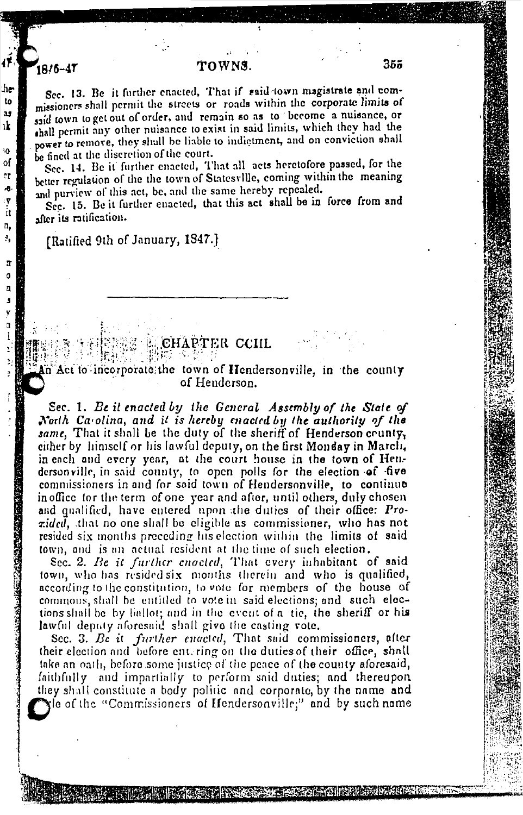## TOWNS

Sec. 13. Be it further enacted, That if said town magistrate and commissioners shall permit the streets or roads within the corporate limits of said town to get out of order, and remain so as to become a nuisance, or shall permit any other nuisance to exist in said limits, which they had the power to remove, they shall be liable to indictment, and on conviction shall be fined at the discretion of the court.

Sec. 14. Be it further enacted, That all acts heretofore passed, for the better regulation of the the town of Statesville, coming within the meaning and purview of this act, be, and the same hereby repealed.

Sec. 15. Be it further enacted, that this act shall be in force from and after its ratification.

[Ratified 9th of January, 1847.]

1816-47

## **E CHAPTER CCIIL**

n Act to incorporate the town of Hendersonville, in the county of Henderson.

Sec. 1. Be it enacted by the General Assembly of the State of North Carolina, and it is hereby enacted by the authority of the same. That it shall be the duty of the sheriff of Henderson county, either by himself or his lawful deputy, on the first Monday in March, in each and every year, at the court house in the town of Hen-<br>dersonville, in said county, to open polls for the election of five commissioners in and for said town of Hendersonville, to continue in office for the term of one year and after, until others, duly chosen and qualified, have entered upon the duties of their office: Prozided, that no one shall be cligible as commissioner, who has not resided six months preceding his election within the limits of said town, and is an actual resident at the time of such election.

Sec. 2. Be it further enacted, That every inhabitant of said town, who has resided six months therein and who is qualified, according to the constitution, to vote for members of the house of commons, shall be entitled to vote in said elections; and such elections shall be by ballot; and in the event of a tie, the sheriff or his lawful deputy aforesaid shall give the casting vote.

Sec. 3. Be it further enacted, That said commissioners, after their election and before ent, ring on the duties of their office, shall take an oath, before some justice of the peace of the county aforesaid, faithfully and impartially to perform said duties; and thereupon they shall constitute a body politic and corporate, by the name and The of the "Commissioners of Hendersonville;" and by such name

**PARTIES AND RESIDENCE OF A PARTIES AND RESIDENCE**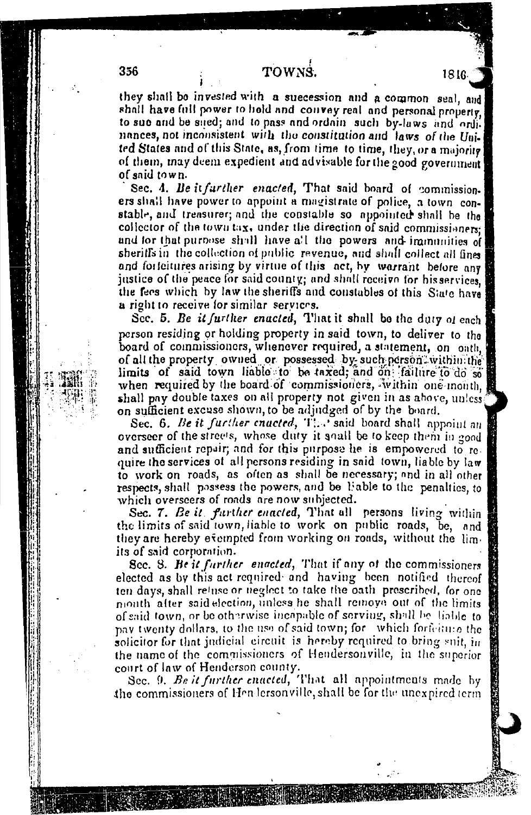they shall be invested with a suecession and a common seal, and shall have full power to hold and convey real and personal property. to sue and be sued; and to pass and ordain such by-laws and ordi. nances, not inconsistent with the constitution and laws of the United States and of this State, as, from time to time, they, or a majority of them, may deem expedient and advisable for the 200d government of said town.

Sec. 4. Be it further enacted, That said board of commission. ers shall have power to appoint a magistrate of police, a town constable, and treasurer; and the constable so appointed shall be the collector of the town tax, under the direction of said commissioners: and for that purpose shall have all the powers and immunities of sheriffs in the collection of public revenue, and shall collect all fines and forfeitures arising by virtue of this act, by warrant before any justice of the peace for said county; and shall receive for his services, the fees which by law the sheriffs and constables of this State have a right to receive for similar services.

Sec. 5. Be it further enacted, That it shall be the duty of each person residing or holding property in said town, to deliver to the board of commissioners, whenever required, a statement, on oath, of all the property owned or possessed by such person within the limits of said town liable to be taxed; and on failure to do so when required by the board of commissioners, within one month, shall pay double taxes on all property not given in as above, unless on sufficient excuse shown, to be adjudged of by the board.

Sec. 6. Be it further enacted, The said board shall appoint an overseer of the streets, whose duty it soull be to keep them in good and sufficient repair; and for this purpose he is empowered to require the services of all persons residing in said town, liable by law to work on roads, as often as shall be necessary; and in all other respects, shall possess the powers, and be liable to the penalties, to which overseers of roads are now subjected.

Sec. 7. Be it further enacted, That all persons living within the limits of said town, liable to work on public roads, be, and they are hereby evempted from working on roads, without the limits of said corporation.

Sec. 8. He it further enacted, That if any of the commissioners elected as by this act required and having been notified thereof ten days, shall retuse or neglect to take the oath prescribed, for one month after said election, unless he shall remove out of the limits of said town, or be otherwise incapable of serving, shall be liable to pay twenty dollars, to the use of said town; for which fortenme the solicitor for that judicial circuit is hereby required to bring suit, in the name of the commissioners of Hendersonville, in the superior court of law of Henderson county.

Sec. 9. Be it further enacted, That all appointments made by the commissioners of Hendersonville, shall be for the unexpired term